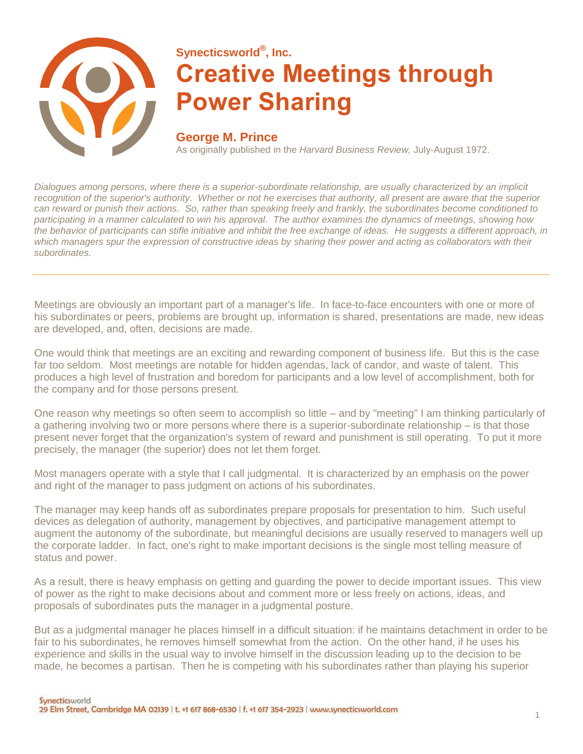

# **Synecticsworld® , Inc. Creative Meetings through Power Sharing**

## **George M. Prince**

As originally published in the *Harvard Business Review,* July-August 1972.

*Dialogues among persons, where there is a superior-subordinate relationship, are usually characterized by an implicit recognition of the superior's authority. Whether or not he exercises that authority, all present are aware that the superior can reward or punish their actions. So, rather than speaking freely and frankly, the subordinates become conditioned to participating in a manner calculated to win his approval. The author examines the dynamics of meetings, showing how the behavior of participants can stifle initiative and inhibit the free exchange of ideas. He suggests a different approach, in which managers spur the expression of constructive ideas by sharing their power and acting as collaborators with their subordinates.*

Meetings are obviously an important part of a manager's life. In face-to-face encounters with one or more of his subordinates or peers, problems are brought up, information is shared, presentations are made, new ideas are developed, and, often, decisions are made.

One would think that meetings are an exciting and rewarding component of business life. But this is the case far too seldom. Most meetings are notable for hidden agendas, lack of candor, and waste of talent. This produces a high level of frustration and boredom for participants and a low level of accomplishment, both for the company and for those persons present.

One reason why meetings so often seem to accomplish so little – and by "meeting" I am thinking particularly of a gathering involving two or more persons where there is a superior-subordinate relationship – is that those present never forget that the organization's system of reward and punishment is still operating. To put it more precisely, the manager (the superior) does not let them forget.

Most managers operate with a style that I call judgmental. It is characterized by an emphasis on the power and right of the manager to pass judgment on actions of his subordinates.

The manager may keep hands off as subordinates prepare proposals for presentation to him. Such useful devices as delegation of authority, management by objectives, and participative management attempt to augment the autonomy of the subordinate, but meaningful decisions are usually reserved to managers well up the corporate ladder. In fact, one's right to make important decisions is the single most telling measure of status and power.

As a result, there is heavy emphasis on getting and guarding the power to decide important issues. This view of power as the right to make decisions about and comment more or less freely on actions, ideas, and proposals of subordinates puts the manager in a judgmental posture.

But as a judgmental manager he places himself in a difficult situation: if he maintains detachment in order to be fair to his subordinates, he removes himself somewhat from the action. On the other hand, if he uses his experience and skills in the usual way to involve himself in the discussion leading up to the decision to be made, he becomes a partisan. Then he is competing with his subordinates rather than playing his superior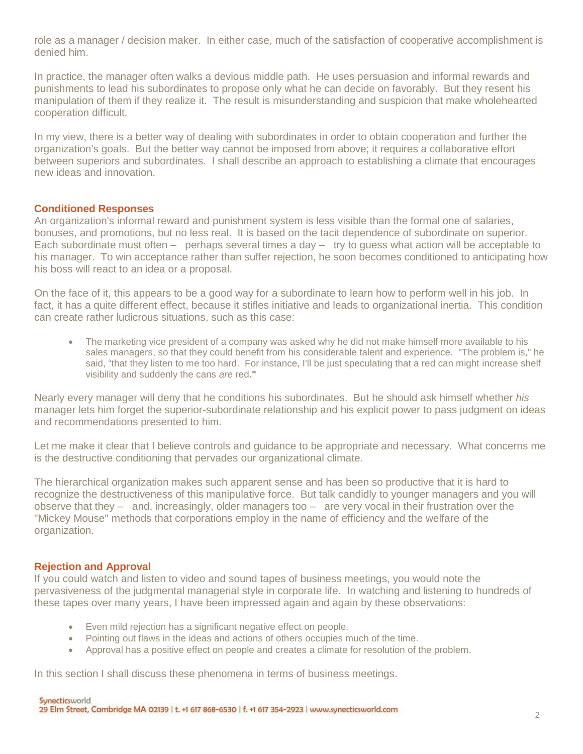role as a manager / decision maker. In either case, much of the satisfaction of cooperative accomplishment is denied him.

In practice, the manager often walks a devious middle path. He uses persuasion and informal rewards and punishments to lead his subordinates to propose only what he can decide on favorably. But they resent his manipulation of them if they realize it. The result is misunderstanding and suspicion that make wholehearted cooperation difficult.

In my view, there is a better way of dealing with subordinates in order to obtain cooperation and further the organization's goals. But the better way cannot be imposed from above; it requires a collaborative effort between superiors and subordinates. I shall describe an approach to establishing a climate that encourages new ideas and innovation.

### **Conditioned Responses**

An organization's informal reward and punishment system is less visible than the formal one of salaries, bonuses, and promotions, but no less real. It is based on the tacit dependence of subordinate on superior. Each subordinate must often  $-$  perhaps several times a day  $-$  try to guess what action will be acceptable to his manager. To win acceptance rather than suffer rejection, he soon becomes conditioned to anticipating how his boss will react to an idea or a proposal.

On the face of it, this appears to be a good way for a subordinate to learn how to perform well in his job. In fact, it has a quite different effect, because it stifles initiative and leads to organizational inertia. This condition can create rather ludicrous situations, such as this case:

 The marketing vice president of a company was asked why he did not make himself more available to his sales managers, so that they could benefit from his considerable talent and experience. "The problem is," he said, "that they listen to me too hard. For instance, I'll be just speculating that a red can might increase shelf visibility and suddenly the cans *are* red**."**

Nearly every manager will deny that he conditions his subordinates. But he should ask himself whether *his*  manager lets him forget the superior-subordinate relationship and his explicit power to pass judgment on ideas and recommendations presented to him.

Let me make it clear that I believe controls and guidance to be appropriate and necessary. What concerns me is the destructive conditioning that pervades our organizational climate.

The hierarchical organization makes such apparent sense and has been so productive that it is hard to recognize the destructiveness of this manipulative force. But talk candidly to younger managers and you will observe that they – and, increasingly, older managers too – are very vocal in their frustration over the "Mickey Mouse" methods that corporations employ in the name of efficiency and the welfare of the organization.

## **Rejection and Approval**

If you could watch and listen to video and sound tapes of business meetings, you would note the pervasiveness of the judgmental managerial style in corporate life. In watching and listening to hundreds of these tapes over many years, I have been impressed again and again by these observations:

- Even mild rejection has a significant negative effect on people.
- Pointing out flaws in the ideas and actions of others occupies much of the time.
- Approval has a positive effect on people and creates a climate for resolution of the problem.

In this section I shall discuss these phenomena in terms of business meetings.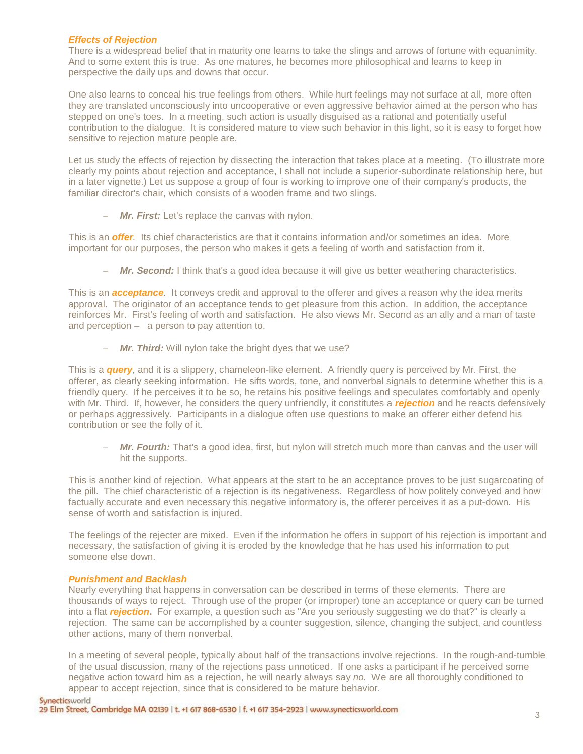#### *Effects of Rejection*

There is a widespread belief that in maturity one learns to take the slings and arrows of fortune with equanimity. And to some extent this is true. As one matures, he becomes more philosophical and learns to keep in perspective the daily ups and downs that occur**.**

One also learns to conceal his true feelings from others. While hurt feelings may not surface at all, more often they are translated unconsciously into uncooperative or even aggressive behavior aimed at the person who has stepped on one's toes. In a meeting, such action is usually disguised as a rational and potentially useful contribution to the dialogue. It is considered mature to view such behavior in this light, so it is easy to forget how sensitive to rejection mature people are.

Let us study the effects of rejection by dissecting the interaction that takes place at a meeting. (To illustrate more clearly my points about rejection and acceptance, I shall not include a superior-subordinate relationship here, but in a later vignette.) Let us suppose a group of four is working to improve one of their company's products, the familiar director's chair, which consists of a wooden frame and two slings.

*Mr. First:* Let's replace the canvas with nylon.

This is an *offer.* Its chief characteristics are that it contains information and/or sometimes an idea. More important for our purposes, the person who makes it gets a feeling of worth and satisfaction from it.

*Mr. Second:* I think that's a good idea because it will give us better weathering characteristics.

This is an *acceptance.* It conveys credit and approval to the offerer and gives a reason why the idea merits approval. The originator of an acceptance tends to get pleasure from this action. In addition, the acceptance reinforces Mr. First's feeling of worth and satisfaction. He also views Mr. Second as an ally and a man of taste and perception – a person to pay attention to.

*Mr. Third:* Will nylon take the bright dyes that we use?

This is a *query,* and it is a slippery, chameleon-like element. A friendly query is perceived by Mr. First, the offerer, as clearly seeking information. He sifts words, tone, and nonverbal signals to determine whether this is a friendly query. If he perceives it to be so, he retains his positive feelings and speculates comfortably and openly with Mr. Third. If, however, he considers the query unfriendly, it constitutes a *rejection* and he reacts defensively or perhaps aggressively. Participants in a dialogue often use questions to make an offerer either defend his contribution or see the folly of it.

 *Mr. Fourth:* That's a good idea, first, but nylon will stretch much more than canvas and the user will hit the supports.

This is another kind of rejection. What appears at the start to be an acceptance proves to be just sugarcoating of the pill. The chief characteristic of a rejection is its negativeness. Regardless of how politely conveyed and how factually accurate and even necessary this negative informatory is, the offerer perceives it as a put-down. His sense of worth and satisfaction is injured.

The feelings of the rejecter are mixed. Even if the information he offers in support of his rejection is important and necessary, the satisfaction of giving it is eroded by the knowledge that he has used his information to put someone else down.

## *Punishment and Backlash*

Nearly everything that happens in conversation can be described in terms of these elements. There are thousands of ways to reject. Through use of the proper (or improper) tone an acceptance or query can be turned into a flat *rejection***.** For example, a question such as "Are you seriously suggesting we do that?" is clearly a rejection. The same can be accomplished by a counter suggestion, silence, changing the subject, and countless other actions, many of them nonverbal.

In a meeting of several people, typically about half of the transactions involve rejections. In the rough-and-tumble of the usual discussion, many of the rejections pass unnoticed. If one asks a participant if he perceived some negative action toward him as a rejection, he will nearly always say *no.* We are all thoroughly conditioned to appear to accept rejection, since that is considered to be mature behavior.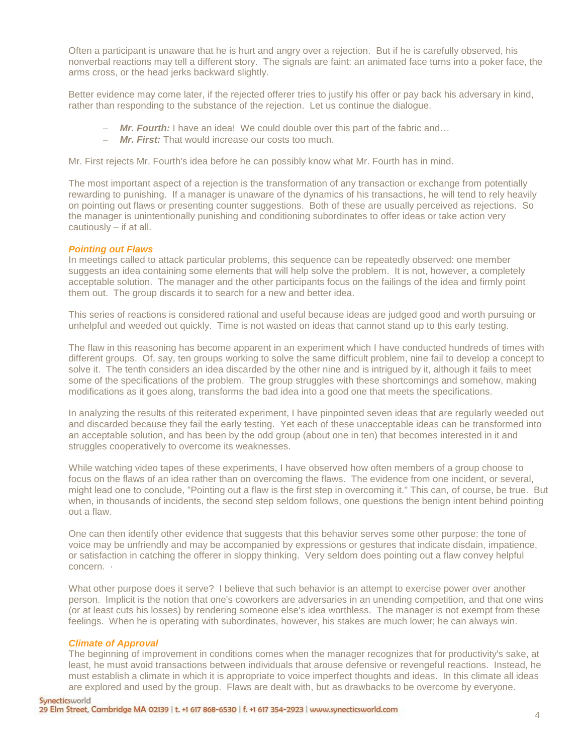Often a participant is unaware that he is hurt and angry over a rejection. But if he is carefully observed, his nonverbal reactions may tell a different story. The signals are faint: an animated face turns into a poker face, the arms cross, or the head jerks backward slightly.

Better evidence may come later, if the rejected offerer tries to justify his offer or pay back his adversary in kind, rather than responding to the substance of the rejection. Let us continue the dialogue.

- *Mr. Fourth:* I have an idea! We could double over this part of the fabric and...
- *Mr. First:* That would increase our costs too much.

Mr. First rejects Mr. Fourth's idea before he can possibly know what Mr. Fourth has in mind.

The most important aspect of a rejection is the transformation of any transaction or exchange from potentially rewarding to punishing. If a manager is unaware of the dynamics of his transactions, he will tend to rely heavily on pointing out flaws or presenting counter suggestions. Both of these are usually perceived as rejections. So the manager is unintentionally punishing and conditioning subordinates to offer ideas or take action very cautiously – if at all.

#### *Pointing out Flaws*

In meetings called to attack particular problems, this sequence can be repeatedly observed: one member suggests an idea containing some elements that will help solve the problem. It is not, however, a completely acceptable solution. The manager and the other participants focus on the failings of the idea and firmly point them out. The group discards it to search for a new and better idea.

This series of reactions is considered rational and useful because ideas are judged good and worth pursuing or unhelpful and weeded out quickly. Time is not wasted on ideas that cannot stand up to this early testing.

The flaw in this reasoning has become apparent in an experiment which I have conducted hundreds of times with different groups. Of, say, ten groups working to solve the same difficult problem, nine fail to develop a concept to solve it. The tenth considers an idea discarded by the other nine and is intrigued by it, although it fails to meet some of the specifications of the problem. The group struggles with these shortcomings and somehow, making modifications as it goes along, transforms the bad idea into a good one that meets the specifications.

In analyzing the results of this reiterated experiment, I have pinpointed seven ideas that are regularly weeded out and discarded because they fail the early testing. Yet each of these unacceptable ideas can be transformed into an acceptable solution, and has been by the odd group (about one in ten) that becomes interested in it and struggles cooperatively to overcome its weaknesses.

While watching video tapes of these experiments, I have observed how often members of a group choose to focus on the flaws of an idea rather than on overcoming the flaws. The evidence from one incident, or several, might lead one to conclude, "Pointing out a flaw is the first step in overcoming it." This can, of course, be true. But when, in thousands of incidents, the second step seldom follows, one questions the benign intent behind pointing out a flaw.

One can then identify other evidence that suggests that this behavior serves some other purpose: the tone of voice may be unfriendly and may be accompanied by expressions or gestures that indicate disdain, impatience, or satisfaction in catching the offerer in sloppy thinking. Very seldom does pointing out a flaw convey helpful concern. ·

What other purpose does it serve? I believe that such behavior is an attempt to exercise power over another person. Implicit is the notion that one's coworkers are adversaries in an unending competition, and that one wins (or at least cuts his losses) by rendering someone else's idea worthless. The manager is not exempt from these feelings. When he is operating with subordinates, however, his stakes are much lower; he can always win.

#### *Climate of Approval*

The beginning of improvement in conditions comes when the manager recognizes that for productivity's sake, at least, he must avoid transactions between individuals that arouse defensive or revengeful reactions. Instead, he must establish a climate in which it is appropriate to voice imperfect thoughts and ideas. In this climate all ideas are explored and used by the group. Flaws are dealt with, but as drawbacks to be overcome by everyone.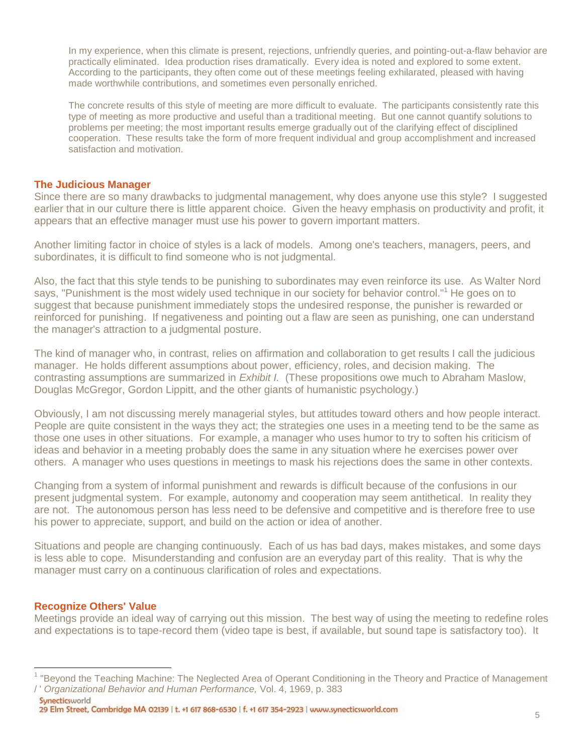In my experience, when this climate is present, rejections, unfriendly queries, and pointing-out-a-flaw behavior are practically eliminated. Idea production rises dramatically. Every idea is noted and explored to some extent. According to the participants, they often come out of these meetings feeling exhilarated, pleased with having made worthwhile contributions, and sometimes even personally enriched.

The concrete results of this style of meeting are more difficult to evaluate. The participants consistently rate this type of meeting as more productive and useful than a traditional meeting. But one cannot quantify solutions to problems per meeting; the most important results emerge gradually out of the clarifying effect of disciplined cooperation. These results take the form of more frequent individual and group accomplishment and increased satisfaction and motivation.

## **The Judicious Manager**

Since there are so many drawbacks to judgmental management, why does anyone use this style? I suggested earlier that in our culture there is little apparent choice. Given the heavy emphasis on productivity and profit, it appears that an effective manager must use his power to govern important matters.

Another limiting factor in choice of styles is a lack of models. Among one's teachers, managers, peers, and subordinates, it is difficult to find someone who is not judgmental.

Also, the fact that this style tends to be punishing to subordinates may even reinforce its use. As Walter Nord says, "Punishment is the most widely used technique in our society for behavior control."<sup>1</sup> He goes on to suggest that because punishment immediately stops the undesired response, the punisher is rewarded or reinforced for punishing. If negativeness and pointing out a flaw are seen as punishing, one can understand the manager's attraction to a judgmental posture.

The kind of manager who, in contrast, relies on affirmation and collaboration to get results I call the judicious manager. He holds different assumptions about power, efficiency, roles, and decision making. The contrasting assumptions are summarized in *Exhibit I.* (These propositions owe much to Abraham Maslow, Douglas McGregor, Gordon Lippitt, and the other giants of humanistic psychology.)

Obviously, I am not discussing merely managerial styles, but attitudes toward others and how people interact. People are quite consistent in the ways they act; the strategies one uses in a meeting tend to be the same as those one uses in other situations. For example, a manager who uses humor to try to soften his criticism of ideas and behavior in a meeting probably does the same in any situation where he exercises power over others. A manager who uses questions in meetings to mask his rejections does the same in other contexts.

Changing from a system of informal punishment and rewards is difficult because of the confusions in our present judgmental system. For example, autonomy and cooperation may seem antithetical. In reality they are not. The autonomous person has less need to be defensive and competitive and is therefore free to use his power to appreciate, support, and build on the action or idea of another.

Situations and people are changing continuously. Each of us has bad days, makes mistakes, and some days is less able to cope. Misunderstanding and confusion are an everyday part of this reality. That is why the manager must carry on a continuous clarification of roles and expectations.

## **Recognize Others' Value**

 $\overline{a}$ 

Meetings provide an ideal way of carrying out this mission. The best way of using the meeting to redefine roles and expectations is to tape-record them (video tape is best, if available, but sound tape is satisfactory too). It

/ ' *Organizational Behavior and Human Performance,* Vol. 4, 1969, p. 383Synecticsworld 29 Elm Street, Cambridge MA 02139 | t. +1 617 868-6530 | f. +1 617 354-2923 | www.synecticsworld.com

<sup>&</sup>lt;sup>1</sup> "Beyond the Teaching Machine: The Neglected Area of Operant Conditioning in the Theory and Practice of Management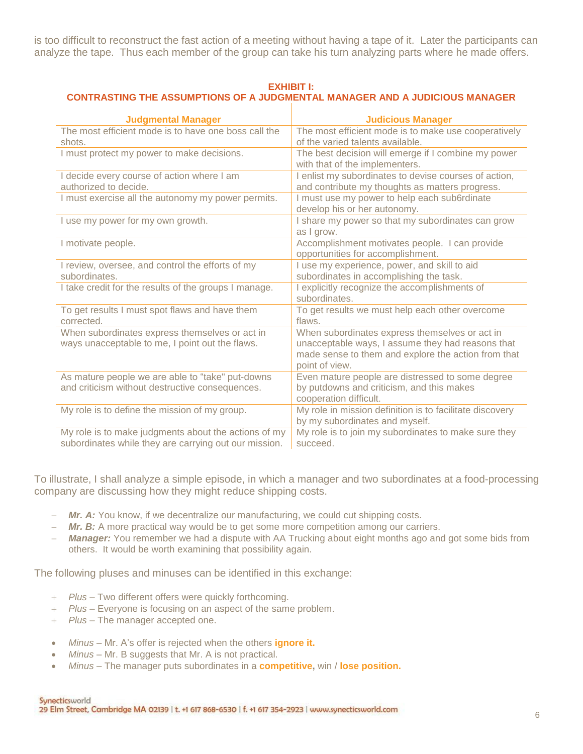is too difficult to reconstruct the fast action of a meeting without having a tape of it. Later the participants can analyze the tape. Thus each member of the group can take his turn analyzing parts where he made offers.

## **EXHIBIT I: CONTRASTING THE ASSUMPTIONS OF A JUDGMENTAL MANAGER AND A JUDICIOUS MANAGER**

| <b>Judgmental Manager</b>                                                                                     | <b>Judicious Manager</b>                                                                                                                                                     |
|---------------------------------------------------------------------------------------------------------------|------------------------------------------------------------------------------------------------------------------------------------------------------------------------------|
| The most efficient mode is to have one boss call the<br>shots.                                                | The most efficient mode is to make use cooperatively<br>of the varied talents available.                                                                                     |
| I must protect my power to make decisions.                                                                    | The best decision will emerge if I combine my power<br>with that of the implementers.                                                                                        |
| I decide every course of action where I am<br>authorized to decide.                                           | I enlist my subordinates to devise courses of action,<br>and contribute my thoughts as matters progress.                                                                     |
| I must exercise all the autonomy my power permits.                                                            | I must use my power to help each sub6rdinate<br>develop his or her autonomy.                                                                                                 |
| I use my power for my own growth.                                                                             | I share my power so that my subordinates can grow<br>as I grow.                                                                                                              |
| I motivate people.                                                                                            | Accomplishment motivates people. I can provide<br>opportunities for accomplishment.                                                                                          |
| I review, oversee, and control the efforts of my<br>subordinates.                                             | I use my experience, power, and skill to aid<br>subordinates in accomplishing the task.                                                                                      |
| I take credit for the results of the groups I manage.                                                         | I explicitly recognize the accomplishments of<br>subordinates.                                                                                                               |
| To get results I must spot flaws and have them<br>corrected.                                                  | To get results we must help each other overcome<br>flaws.                                                                                                                    |
| When subordinates express themselves or act in<br>ways unacceptable to me, I point out the flaws.             | When subordinates express themselves or act in<br>unacceptable ways, I assume they had reasons that<br>made sense to them and explore the action from that<br>point of view. |
| As mature people we are able to "take" put-downs<br>and criticism without destructive consequences.           | Even mature people are distressed to some degree<br>by putdowns and criticism, and this makes<br>cooperation difficult.                                                      |
| My role is to define the mission of my group.                                                                 | My role in mission definition is to facilitate discovery<br>by my subordinates and myself.                                                                                   |
| My role is to make judgments about the actions of my<br>subordinates while they are carrying out our mission. | My role is to join my subordinates to make sure they<br>succeed.                                                                                                             |

To illustrate, I shall analyze a simple episode, in which a manager and two subordinates at a food-processing company are discussing how they might reduce shipping costs.

- *Mr. A:* You know, if we decentralize our manufacturing, we could cut shipping costs.
- *Mr. B:* A more practical way would be to get some more competition among our carriers.
- *Manager:* You remember we had a dispute with AA Trucking about eight months ago and got some bids from others. It would be worth examining that possibility again.

The following pluses and minuses can be identified in this exchange:

- *Plus –* Two different offers were quickly forthcoming.
- *Plus –* Everyone is focusing on an aspect of the same problem.
- *Plus –* The manager accepted one.
- *Minus –* Mr. A's offer is rejected when the others **ignore it.**
- Minus Mr. B suggests that Mr. A is not practical.
- *Minus –* The manager puts subordinates in a **competitive,** win / **lose position.**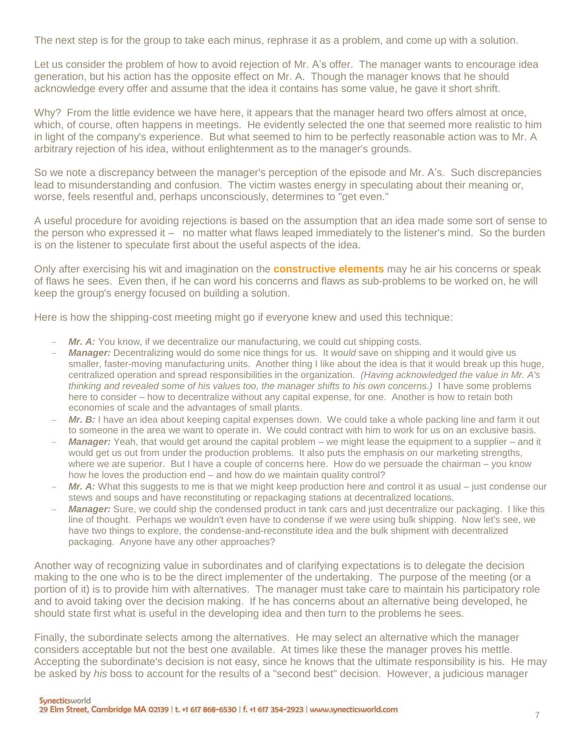The next step is for the group to take each minus, rephrase it as a problem, and come up with a solution.

Let us consider the problem of how to avoid rejection of Mr. A's offer. The manager wants to encourage idea generation, but his action has the opposite effect on Mr. A. Though the manager knows that he should acknowledge every offer and assume that the idea it contains has some value, he gave it short shrift.

Why? From the little evidence we have here, it appears that the manager heard two offers almost at once, which, of course, often happens in meetings. He evidently selected the one that seemed more realistic to him in light of the company's experience. But what seemed to him to be perfectly reasonable action was to Mr. A arbitrary rejection of his idea, without enlightenment as to the manager's grounds.

So we note a discrepancy between the manager's perception of the episode and Mr. A's. Such discrepancies lead to misunderstanding and confusion. The victim wastes energy in speculating about their meaning or, worse, feels resentful and, perhaps unconsciously, determines to "get even."

A useful procedure for avoiding rejections is based on the assumption that an idea made some sort of sense to the person who expressed it – no matter what flaws leaped immediately to the listener's mind. So the burden is on the listener to speculate first about the useful aspects of the idea.

Only after exercising his wit and imagination on the **constructive elements** may he air his concerns or speak of flaws he sees. Even then, if he can word his concerns and flaws as sub-problems to be worked on, he will keep the group's energy focused on building a solution.

Here is how the shipping-cost meeting might go if everyone knew and used this technique:

- *Mr. A:* You know, if we decentralize our manufacturing, we could cut shipping costs.
- *Manager:* Decentralizing would do some nice things for us. It *would* save on shipping and it would give us smaller, faster-moving manufacturing units. Another thing I like about the idea is that it would break up this huge, centralized operation and spread responsibilities in the organization. *(Having acknowledged the value in Mr. A's thinking and revealed some of his values too, the manager shifts to his own concerns.)* I have some problems here to consider – how to decentralize without any capital expense, for one. Another is how to retain both economies of scale and the advantages of small plants.
- *Mr. B:* I have an idea about keeping capital expenses down. We could take a whole packing line and farm it out to someone in the area we want to operate in. We could contract with him to work for us on an exclusive basis.
- *Manager:* Yeah, that would get around the capital problem we might lease the equipment to a supplier and it would get us out from under the production problems. It also puts the emphasis on our marketing strengths, where we are superior. But I have a couple of concerns here. How do we persuade the chairman – you know how he loves the production end – and how do we maintain quality control?
- *Mr. A:* What this suggests to me is that we might keep production here and control it as usual just condense our stews and soups and have reconstituting or repackaging stations at decentralized locations.
- *Manager:* Sure, we could ship the condensed product in tank cars and just decentralize our packaging. I like this line of thought. Perhaps we wouldn't even have to condense if we were using bulk shipping. Now let's see, we have two things to explore, the condense-and-reconstitute idea and the bulk shipment with decentralized packaging. Anyone have any other approaches?

Another way of recognizing value in subordinates and of clarifying expectations is to delegate the decision making to the one who is to be the direct implementer of the undertaking. The purpose of the meeting (or a portion of it) is to provide him with alternatives. The manager must take care to maintain his participatory role and to avoid taking over the decision making. If he has concerns about an alternative being developed, he should state first what is useful in the developing idea and then turn to the problems he sees.

Finally, the subordinate selects among the alternatives. He may select an alternative which the manager considers acceptable but not the best one available. At times like these the manager proves his mettle. Accepting the subordinate's decision is not easy, since he knows that the ultimate responsibility is his. He may be asked by *his* boss to account for the results of a "second best" decision. However, a judicious manager